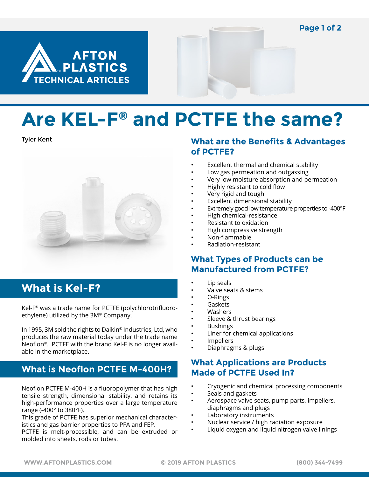**Page 1 of 2**





# **Are KEL-F® and PCTFE the same?**

Tyler Kent



# **What is Kel-F?**

Kel-F® was a trade name for PCTFE (polychlorotrifluoroethylene) utilized by the 3M® Company.

In 1995, 3M sold the rights to Daikin® Industries, Ltd, who produces the raw material today under the trade name Neoflon®. PCTFE with the brand Kel-F is no longer available in the marketplace.

# **What is Neoflon PCTFE M-400H?**

Neoflon PCTFE M-400H is a fluoropolymer that has high tensile strength, dimensional stability, and retains its high-performance properties over a large temperature range (-400° to 380°F).

This grade of PCTFE has superior mechanical characteristics and gas barrier properties to PFA and FEP.

PCTFE is melt-processible, and can be extruded or molded into sheets, rods or tubes.

#### **What are the Benefits & Advantages of PCTFE?**

- Excellent thermal and chemical stability
- Low gas permeation and outgassing
- Very low moisture absorption and permeation
- Highly resistant to cold flow
- Very rigid and tough
- Excellent dimensional stability
- Extremely good low temperature properties to -400°F
- High chemical-resistance
- Resistant to oxidation
- High compressive strength
- Non-flammable
- Radiation-resistant

#### **What Types of Products can be Manufactured from PCTFE?**

- Lip seals
- Valve seats & stems
- O-Rings
- Gaskets
- Washers
- Sleeve & thrust bearings
- Bushings
- Liner for chemical applications
- **Impellers**
- Diaphragms & plugs

## **What Applications are Products Made of PCTFE Used In?**

- Cryogenic and chemical processing components
- Seals and gaskets
- Aerospace valve seats, pump parts, impellers, diaphragms and plugs
- Laboratory instruments
- Nuclear service / high radiation exposure
- Liquid oxygen and liquid nitrogen valve linings